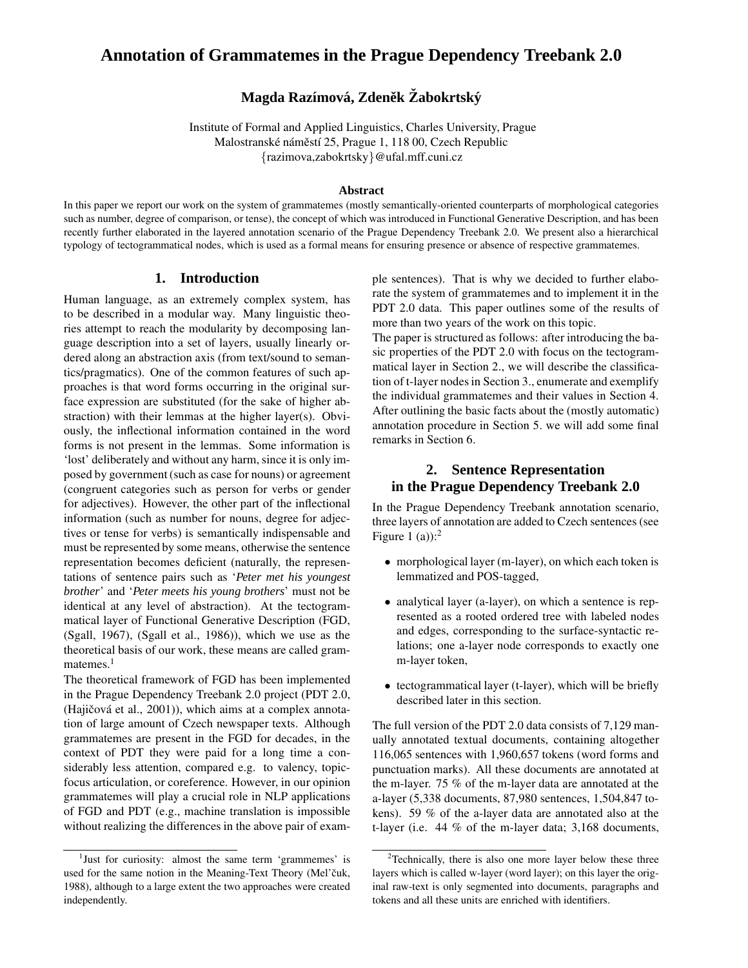# **Annotation of Grammatemes in the Prague Dependency Treebank 2.0**

# **Magda Raz´ımova, ´ Zdenekˇ Zabokrtsk ˇ y´**

Institute of Formal and Applied Linguistics, Charles University, Prague Malostranské náměstí 25, Prague 1, 118 00, Czech Republic {razimova,zabokrtsky}@ufal.mff.cuni.cz

#### **Abstract**

In this paper we report our work on the system of grammatemes (mostly semantically-oriented counterparts of morphological categories such as number, degree of comparison, or tense), the concept of which was introduced in Functional Generative Description, and has been recently further elaborated in the layered annotation scenario of the Prague Dependency Treebank 2.0. We present also a hierarchical typology of tectogrammatical nodes, which is used as a formal means for ensuring presence or absence of respective grammatemes.

## **1. Introduction**

Human language, as an extremely complex system, has to be described in a modular way. Many linguistic theories attempt to reach the modularity by decomposing language description into a set of layers, usually linearly ordered along an abstraction axis (from text/sound to semantics/pragmatics). One of the common features of such approaches is that word forms occurring in the original surface expression are substituted (for the sake of higher abstraction) with their lemmas at the higher layer(s). Obviously, the inflectional information contained in the word forms is not present in the lemmas. Some information is 'lost' deliberately and without any harm, since it is only imposed by government (such as case for nouns) or agreement (congruent categories such as person for verbs or gender for adjectives). However, the other part of the inflectional information (such as number for nouns, degree for adjectives or tense for verbs) is semantically indispensable and must be represented by some means, otherwise the sentence representation becomes deficient (naturally, the representations of sentence pairs such as '*Peter met his youngest brother*' and '*Peter meets his young brothers*' must not be identical at any level of abstraction). At the tectogrammatical layer of Functional Generative Description (FGD, (Sgall, 1967), (Sgall et al., 1986)), which we use as the theoretical basis of our work, these means are called gram $m$ atemes.<sup>1</sup>

The theoretical framework of FGD has been implemented in the Prague Dependency Treebank 2.0 project (PDT 2.0,  $(Haiŭčová et al., 2001)$ , which aims at a complex annotation of large amount of Czech newspaper texts. Although grammatemes are present in the FGD for decades, in the context of PDT they were paid for a long time a considerably less attention, compared e.g. to valency, topicfocus articulation, or coreference. However, in our opinion grammatemes will play a crucial role in NLP applications of FGD and PDT (e.g., machine translation is impossible without realizing the differences in the above pair of example sentences). That is why we decided to further elaborate the system of grammatemes and to implement it in the PDT 2.0 data. This paper outlines some of the results of more than two years of the work on this topic.

The paper is structured as follows: after introducing the basic properties of the PDT 2.0 with focus on the tectogrammatical layer in Section 2., we will describe the classification of t-layer nodes in Section 3., enumerate and exemplify the individual grammatemes and their values in Section 4. After outlining the basic facts about the (mostly automatic) annotation procedure in Section 5. we will add some final remarks in Section 6.

## **2. Sentence Representation in the Prague Dependency Treebank 2.0**

In the Prague Dependency Treebank annotation scenario, three layers of annotation are added to Czech sentences (see Figure 1 (a)): $<sup>2</sup>$ </sup>

- morphological layer (m-layer), on which each token is lemmatized and POS-tagged,
- analytical layer (a-layer), on which a sentence is represented as a rooted ordered tree with labeled nodes and edges, corresponding to the surface-syntactic relations; one a-layer node corresponds to exactly one m-layer token,
- tectogrammatical layer (t-layer), which will be briefly described later in this section.

The full version of the PDT 2.0 data consists of 7,129 manually annotated textual documents, containing altogether 116,065 sentences with 1,960,657 tokens (word forms and punctuation marks). All these documents are annotated at the m-layer. 75 % of the m-layer data are annotated at the a-layer (5,338 documents, 87,980 sentences, 1,504,847 tokens). 59 % of the a-layer data are annotated also at the t-layer (i.e. 44 % of the m-layer data; 3,168 documents,

<sup>&</sup>lt;sup>1</sup>Just for curiosity: almost the same term 'grammemes' is used for the same notion in the Meaning-Text Theory (Mel'čuk, 1988), although to a large extent the two approaches were created independently.

<sup>&</sup>lt;sup>2</sup>Technically, there is also one more layer below these three layers which is called w-layer (word layer); on this layer the original raw-text is only segmented into documents, paragraphs and tokens and all these units are enriched with identifiers.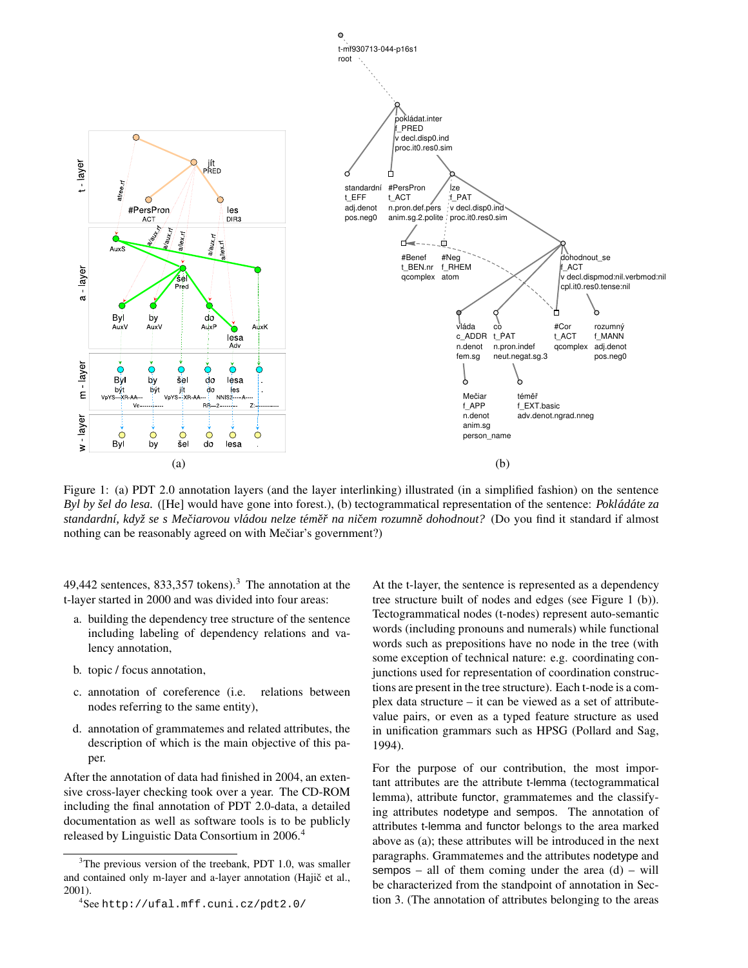

Figure 1: (a) PDT 2.0 annotation layers (and the layer interlinking) illustrated (in a simplified fashion) on the sentence *Byl by šel do lesa.* ([He] would have gone into forest.), (b) tectogrammatical representation of the sentence: *Pokládáte za* standardní, když se s Mečiarovou vládou nelze téměř na ničem rozumně dohodnout? (Do you find it standard if almost nothing can be reasonably agreed on with Mečiar's government?)

49,442 sentences, 833,357 tokens).<sup>3</sup> The annotation at the t-layer started in 2000 and was divided into four areas:

- a. building the dependency tree structure of the sentence including labeling of dependency relations and valency annotation,
- b. topic / focus annotation,
- c. annotation of coreference (i.e. relations between nodes referring to the same entity),
- d. annotation of grammatemes and related attributes, the description of which is the main objective of this paper.

After the annotation of data had finished in 2004, an extensive cross-layer checking took over a year. The CD-ROM including the final annotation of PDT 2.0-data, a detailed documentation as well as software tools is to be publicly released by Linguistic Data Consortium in 2006.<sup>4</sup>

At the t-layer, the sentence is represented as a dependency tree structure built of nodes and edges (see Figure 1 (b)). Tectogrammatical nodes (t-nodes) represent auto-semantic words (including pronouns and numerals) while functional words such as prepositions have no node in the tree (with some exception of technical nature: e.g. coordinating conjunctions used for representation of coordination constructions are present in the tree structure). Each t-node is a complex data structure – it can be viewed as a set of attributevalue pairs, or even as a typed feature structure as used in unification grammars such as HPSG (Pollard and Sag, 1994).

For the purpose of our contribution, the most important attributes are the attribute t-lemma (tectogrammatical lemma), attribute functor, grammatemes and the classifying attributes nodetype and sempos. The annotation of attributes t-lemma and functor belongs to the area marked above as (a); these attributes will be introduced in the next paragraphs. Grammatemes and the attributes nodetype and sempos – all of them coming under the area  $(d)$  – will be characterized from the standpoint of annotation in Section 3. (The annotation of attributes belonging to the areas

 $3$ The previous version of the treebank, PDT 1.0, was smaller and contained only m-layer and a-layer annotation (Hajič et al., 2001).

 $4$ See http://ufal.mff.cuni.cz/pdt2.0/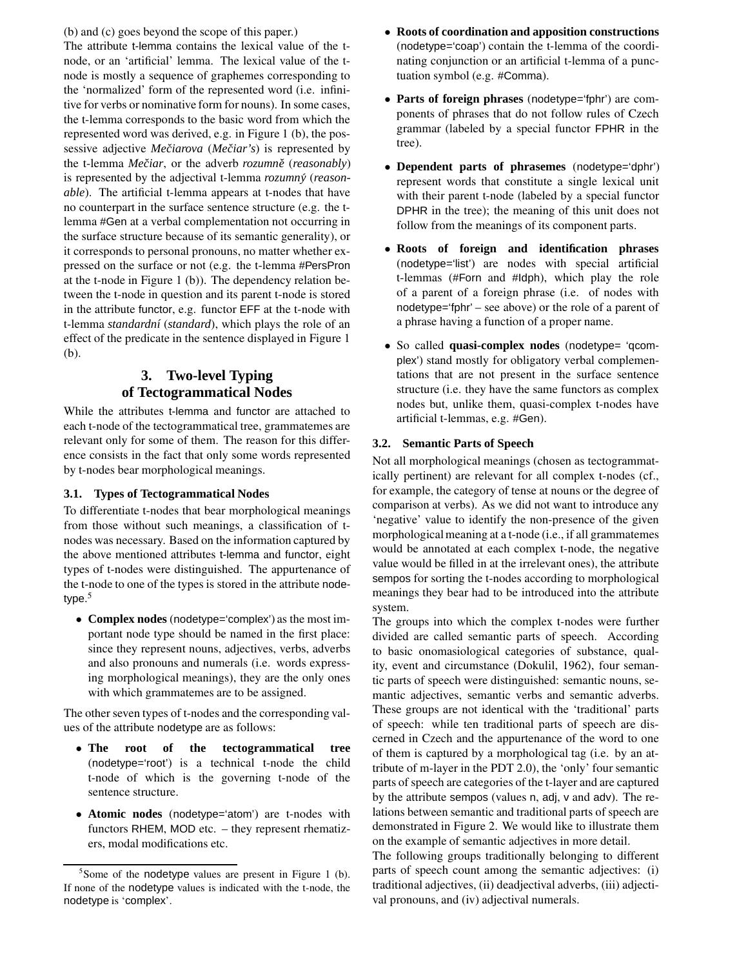(b) and (c) goes beyond the scope of this paper.)

The attribute t-lemma contains the lexical value of the tnode, or an 'artificial' lemma. The lexical value of the tnode is mostly a sequence of graphemes corresponding to the 'normalized' form of the represented word (i.e. infinitive for verbs or nominative form for nouns). In some cases, the t-lemma corresponds to the basic word from which the represented word was derived, e.g. in Figure 1 (b), the possessive adjective *Meciar ˇ ova* (*Meciar' ˇ s*) is represented by the t-lemma *Meciar ˇ* , or the adverb *rozumneˇ* (*reasonably*) is represented by the adjectival t-lemma *rozumny´* (*reasonable*). The artificial t-lemma appears at t-nodes that have no counterpart in the surface sentence structure (e.g. the tlemma #Gen at a verbal complementation not occurring in the surface structure because of its semantic generality), or it corresponds to personal pronouns, no matter whether expressed on the surface or not (e.g. the t-lemma #PersPron at the t-node in Figure 1 (b)). The dependency relation between the t-node in question and its parent t-node is stored in the attribute functor, e.g. functor EFF at the t-node with t-lemma *standardn´ı* (*standard*), which plays the role of an effect of the predicate in the sentence displayed in Figure 1 (b).

## **3. Two-level Typing of Tectogrammatical Nodes**

While the attributes t-lemma and functor are attached to each t-node of the tectogrammatical tree, grammatemes are relevant only for some of them. The reason for this difference consists in the fact that only some words represented by t-nodes bear morphological meanings.

#### **3.1. Types of Tectogrammatical Nodes**

To differentiate t-nodes that bear morphological meanings from those without such meanings, a classification of tnodes was necessary. Based on the information captured by the above mentioned attributes t-lemma and functor, eight types of t-nodes were distinguished. The appurtenance of the t-node to one of the types is stored in the attribute nodetype. 5

• **Complex nodes** (nodetype='complex') as the most important node type should be named in the first place: since they represent nouns, adjectives, verbs, adverbs and also pronouns and numerals (i.e. words expressing morphological meanings), they are the only ones with which grammatemes are to be assigned.

The other seven types of t-nodes and the corresponding values of the attribute nodetype are as follows:

- **The root of the tectogrammatical tree** (nodetype='root') is a technical t-node the child t-node of which is the governing t-node of the sentence structure.
- **Atomic nodes** (nodetype='atom') are t-nodes with functors RHEM, MOD etc. – they represent rhematizers, modal modifications etc.
- **Roots of coordination and apposition constructions** (nodetype='coap') contain the t-lemma of the coordinating conjunction or an artificial t-lemma of a punctuation symbol (e.g. #Comma).
- **Parts of foreign phrases** (nodetype='fphr') are components of phrases that do not follow rules of Czech grammar (labeled by a special functor FPHR in the tree).
- **Dependent parts of phrasemes** (nodetype='dphr') represent words that constitute a single lexical unit with their parent t-node (labeled by a special functor DPHR in the tree); the meaning of this unit does not follow from the meanings of its component parts.
- **Roots of foreign and identification phrases** (nodetype='list') are nodes with special artificial t-lemmas (#Forn and #Idph), which play the role of a parent of a foreign phrase (i.e. of nodes with nodetype='fphr' – see above) or the role of a parent of a phrase having a function of a proper name.
- So called **quasi-complex nodes** (nodetype= 'qcomplex') stand mostly for obligatory verbal complementations that are not present in the surface sentence structure (i.e. they have the same functors as complex nodes but, unlike them, quasi-complex t-nodes have artificial t-lemmas, e.g. #Gen).

## **3.2. Semantic Parts of Speech**

Not all morphological meanings (chosen as tectogrammatically pertinent) are relevant for all complex t-nodes (cf., for example, the category of tense at nouns or the degree of comparison at verbs). As we did not want to introduce any 'negative' value to identify the non-presence of the given morphological meaning at a t-node (i.e., if all grammatemes would be annotated at each complex t-node, the negative value would be filled in at the irrelevant ones), the attribute sempos for sorting the t-nodes according to morphological meanings they bear had to be introduced into the attribute system.

The groups into which the complex t-nodes were further divided are called semantic parts of speech. According to basic onomasiological categories of substance, quality, event and circumstance (Dokulil, 1962), four semantic parts of speech were distinguished: semantic nouns, semantic adjectives, semantic verbs and semantic adverbs. These groups are not identical with the 'traditional' parts of speech: while ten traditional parts of speech are discerned in Czech and the appurtenance of the word to one of them is captured by a morphological tag (i.e. by an attribute of m-layer in the PDT 2.0), the 'only' four semantic parts of speech are categories of the t-layer and are captured by the attribute sempos (values n, adj, v and adv). The relations between semantic and traditional parts of speech are demonstrated in Figure 2. We would like to illustrate them on the example of semantic adjectives in more detail.

The following groups traditionally belonging to different parts of speech count among the semantic adjectives: (i) traditional adjectives, (ii) deadjectival adverbs, (iii) adjectival pronouns, and (iv) adjectival numerals.

 $5$ Some of the nodetype values are present in Figure 1 (b). If none of the nodetype values is indicated with the t-node, the nodetype is 'complex'.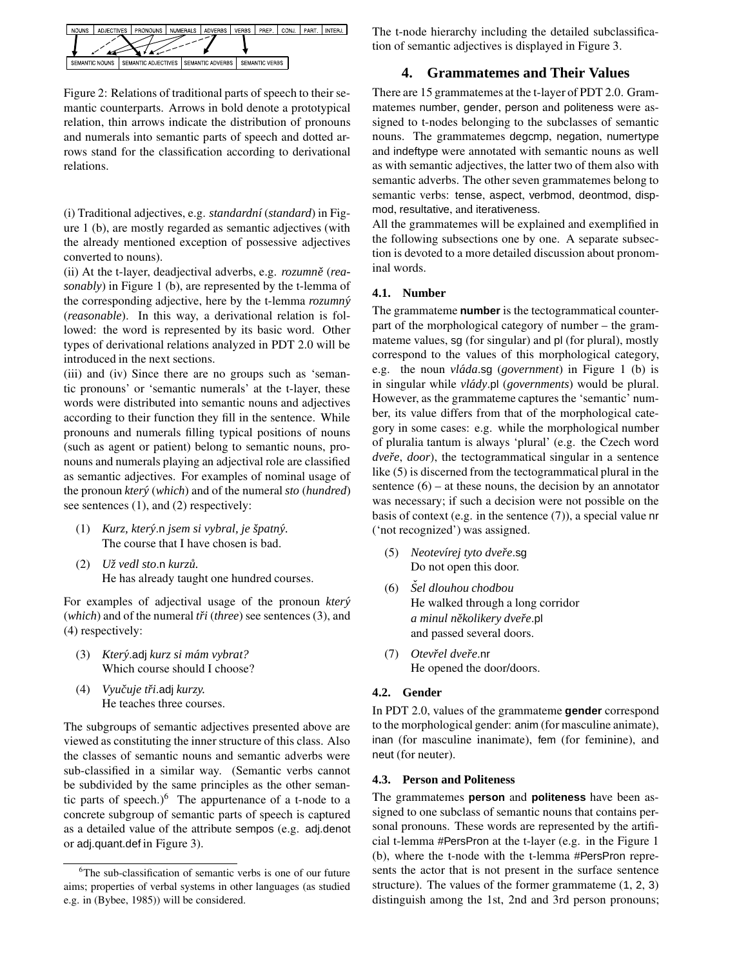

Figure 2: Relations of traditional parts of speech to their semantic counterparts. Arrows in bold denote a prototypical relation, thin arrows indicate the distribution of pronouns and numerals into semantic parts of speech and dotted arrows stand for the classification according to derivational relations.

(i) Traditional adjectives, e.g. *standardn´ı* (*standard*) in Figure 1 (b), are mostly regarded as semantic adjectives (with the already mentioned exception of possessive adjectives converted to nouns).

(ii) At the t-layer, deadjectival adverbs, e.g. *rozumně* (*reasonably*) in Figure 1 (b), are represented by the t-lemma of the corresponding adjective, here by the t-lemma *rozumny´* (*reasonable*). In this way, a derivational relation is followed: the word is represented by its basic word. Other types of derivational relations analyzed in PDT 2.0 will be introduced in the next sections.

(iii) and (iv) Since there are no groups such as 'semantic pronouns' or 'semantic numerals' at the t-layer, these words were distributed into semantic nouns and adjectives according to their function they fill in the sentence. While pronouns and numerals filling typical positions of nouns (such as agent or patient) belong to semantic nouns, pronouns and numerals playing an adjectival role are classified as semantic adjectives. For examples of nominal usage of the pronoun *ktery´* (*which*) and of the numeral *sto* (*hundred*) see sentences (1), and (2) respectively:

- (1) *Kurz, ktery´*.n *jsem si vybral, je spatn ˇ y.´* The course that I have chosen is bad.
- (2) *Uzˇ vedl sto*.n *kurzu. ˚* He has already taught one hundred courses.

For examples of adjectival usage of the pronoun *ktery´* (*which*) and of the numeral *tři* (*three*) see sentences (3), and (4) respectively:

- (3) *Ktery´*.adj *kurz si mam´ vybrat?* Which course should I choose?
- (4) *Vyucuje ˇ triˇ* .adj *kurzy.* He teaches three courses.

The subgroups of semantic adjectives presented above are viewed as constituting the inner structure of this class. Also the classes of semantic nouns and semantic adverbs were sub-classified in a similar way. (Semantic verbs cannot be subdivided by the same principles as the other semantic parts of speech.) $6$  The appurtenance of a t-node to a concrete subgroup of semantic parts of speech is captured as a detailed value of the attribute sempos (e.g. adj.denot or adj.quant.def in Figure 3).

The t-node hierarchy including the detailed subclassification of semantic adjectives is displayed in Figure 3.

### **4. Grammatemes and Their Values**

There are 15 grammatemes at the t-layer of PDT 2.0. Grammatemes number, gender, person and politeness were assigned to t-nodes belonging to the subclasses of semantic nouns. The grammatemes degcmp, negation, numertype and indeftype were annotated with semantic nouns as well as with semantic adjectives, the latter two of them also with semantic adverbs. The other seven grammatemes belong to semantic verbs: tense, aspect, verbmod, deontmod, dispmod, resultative, and iterativeness.

All the grammatemes will be explained and exemplified in the following subsections one by one. A separate subsection is devoted to a more detailed discussion about pronominal words.

#### **4.1. Number**

The grammateme **number** is the tectogrammatical counterpart of the morphological category of number – the grammateme values, sg (for singular) and pl (for plural), mostly correspond to the values of this morphological category, e.g. the noun *vláda* **sg** (*government*) in Figure 1 (b) is in singular while *vlády*.pl (*governments*) would be plural. However, as the grammateme captures the 'semantic' number, its value differs from that of the morphological category in some cases: e.g. while the morphological number of pluralia tantum is always 'plural' (e.g. the Czech word *dveře, door*), the tectogrammatical singular in a sentence like (5) is discerned from the tectogrammatical plural in the sentence  $(6)$  – at these nouns, the decision by an annotator was necessary; if such a decision were not possible on the basis of context (e.g. in the sentence (7)), a special value nr ('not recognized') was assigned.

- (5) *Neotev´ırej tyto dvereˇ* .sg Do not open this door.
- (6) *Sel ˇ dlouhou chodbou* He walked through a long corridor  $a$  *minul několikery dveře*.pl and passed several doors.
- (7) *Otevrel ˇ dvereˇ* .nr He opened the door/doors.

#### **4.2. Gender**

In PDT 2.0, values of the grammateme **gender** correspond to the morphological gender: anim (for masculine animate), inan (for masculine inanimate), fem (for feminine), and neut (for neuter).

#### **4.3. Person and Politeness**

The grammatemes **person** and **politeness** have been assigned to one subclass of semantic nouns that contains personal pronouns. These words are represented by the artificial t-lemma #PersPron at the t-layer (e.g. in the Figure 1 (b), where the t-node with the t-lemma #PersPron represents the actor that is not present in the surface sentence structure). The values of the former grammateme (1, 2, 3) distinguish among the 1st, 2nd and 3rd person pronouns;

<sup>&</sup>lt;sup>6</sup>The sub-classification of semantic verbs is one of our future aims; properties of verbal systems in other languages (as studied e.g. in (Bybee, 1985)) will be considered.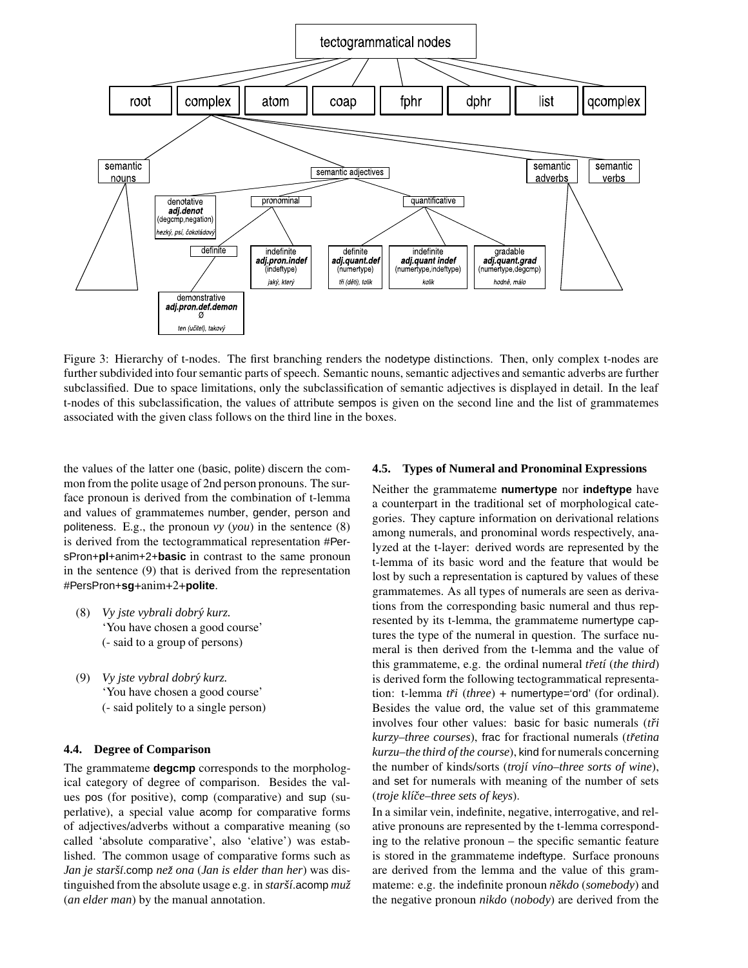

Figure 3: Hierarchy of t-nodes. The first branching renders the nodetype distinctions. Then, only complex t-nodes are further subdivided into four semantic parts of speech. Semantic nouns, semantic adjectives and semantic adverbs are further subclassified. Due to space limitations, only the subclassification of semantic adjectives is displayed in detail. In the leaf t-nodes of this subclassification, the values of attribute sempos is given on the second line and the list of grammatemes associated with the given class follows on the third line in the boxes.

the values of the latter one (basic, polite) discern the common from the polite usage of 2nd person pronouns. The surface pronoun is derived from the combination of t-lemma and values of grammatemes number, gender, person and politeness. E.g., the pronoun *vy* (*you*) in the sentence (8) is derived from the tectogrammatical representation #PersPron+**pl**+anim+2+**basic** in contrast to the same pronoun in the sentence (9) that is derived from the representation #PersPron+**sg**+anim+2+**polite**.

- (8) *Vy jste vybrali dobry´ kurz.* 'You have chosen a good course' (- said to a group of persons)
- (9) *Vy jste vybral dobry´ kurz.* 'You have chosen a good course' (- said politely to a single person)

#### **4.4. Degree of Comparison**

The grammateme **degcmp** corresponds to the morphological category of degree of comparison. Besides the values pos (for positive), comp (comparative) and sup (superlative), a special value acomp for comparative forms of adjectives/adverbs without a comparative meaning (so called 'absolute comparative', also 'elative') was established. The common usage of comparative forms such as *Jan je starsˇ´ı*.comp *nezˇ ona* (*Jan is elder than her*) was distinguished from the absolute usage e.g. in *starší*.acomp muž (*an elder man*) by the manual annotation.

#### **4.5. Types of Numeral and Pronominal Expressions**

Neither the grammateme **numertype** nor **indeftype** have a counterpart in the traditional set of morphological categories. They capture information on derivational relations among numerals, and pronominal words respectively, analyzed at the t-layer: derived words are represented by the t-lemma of its basic word and the feature that would be lost by such a representation is captured by values of these grammatemes. As all types of numerals are seen as derivations from the corresponding basic numeral and thus represented by its t-lemma, the grammateme numertype captures the type of the numeral in question. The surface numeral is then derived from the t-lemma and the value of this grammateme, e.g. the ordinal numeral *třetí* (*the third*) is derived form the following tectogrammatical representation: t-lemma *tři* (*three*) + numertype='ord' (for ordinal). Besides the value ord, the value set of this grammateme involves four other values: basic for basic numerals (*tři kurzy*–*three courses*), frac for fractional numerals (*tretina ˇ kurzu*–*the third of the course*), kind for numerals concerning the number of kinds/sorts (*troj´ı v´ıno*–*three sorts of wine*), and set for numerals with meaning of the number of sets (*troje kl´ıceˇ* –*three sets of keys*).

In a similar vein, indefinite, negative, interrogative, and relative pronouns are represented by the t-lemma corresponding to the relative pronoun – the specific semantic feature is stored in the grammateme indeftype. Surface pronouns are derived from the lemma and the value of this grammateme: e.g. the indefinite pronoun  $n\check{e}kdo$  (*somebody*) and the negative pronoun *nikdo* (*nobody*) are derived from the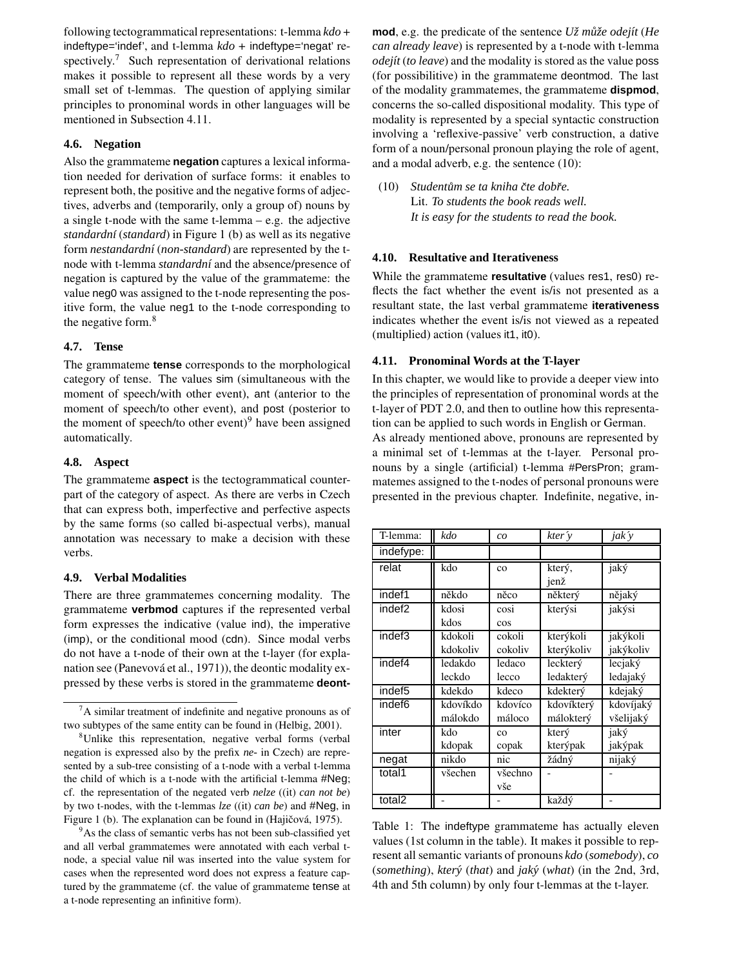following tectogrammatical representations: t-lemma *kdo* + indeftype='indef', and t-lemma *kdo* + indeftype='negat' respectively.<sup>7</sup> Such representation of derivational relations makes it possible to represent all these words by a very small set of t-lemmas. The question of applying similar principles to pronominal words in other languages will be mentioned in Subsection 4.11.

#### **4.6. Negation**

Also the grammateme **negation** captures a lexical information needed for derivation of surface forms: it enables to represent both, the positive and the negative forms of adjectives, adverbs and (temporarily, only a group of) nouns by a single t-node with the same t-lemma – e.g. the adjective *standardn´ı* (*standard*) in Figure 1 (b) as well as its negative form *nestandardn´ı* (*non-standard*) are represented by the tnode with t-lemma *standardní* and the absence/presence of negation is captured by the value of the grammateme: the value neg0 was assigned to the t-node representing the positive form, the value neg1 to the t-node corresponding to the negative form.<sup>8</sup>

#### **4.7. Tense**

The grammateme **tense** corresponds to the morphological category of tense. The values sim (simultaneous with the moment of speech/with other event), ant (anterior to the moment of speech/to other event), and post (posterior to the moment of speech/to other event) $9$  have been assigned automatically.

#### **4.8. Aspect**

The grammateme **aspect** is the tectogrammatical counterpart of the category of aspect. As there are verbs in Czech that can express both, imperfective and perfective aspects by the same forms (so called bi-aspectual verbs), manual annotation was necessary to make a decision with these verbs.

#### **4.9. Verbal Modalities**

There are three grammatemes concerning modality. The grammateme **verbmod** captures if the represented verbal form expresses the indicative (value ind), the imperative (imp), or the conditional mood (cdn). Since modal verbs do not have a t-node of their own at the t-layer (for explanation see (Panevová et al., 1971)), the deontic modality expressed by these verbs is stored in the grammateme **deont-**

<sup>9</sup>As the class of semantic verbs has not been sub-classified yet and all verbal grammatemes were annotated with each verbal tnode, a special value nil was inserted into the value system for cases when the represented word does not express a feature captured by the grammateme (cf. the value of grammateme tense at a t-node representing an infinitive form).

**mod**, e.g. the predicate of the sentence *U* $\zeta$ <sup>*mû* $\zeta$ *e odejít* (*He*</sup> *can already leave*) is represented by a t-node with t-lemma *odej´ıt* (*to leave*) and the modality is stored as the value poss (for possibilitive) in the grammateme deontmod. The last of the modality grammatemes, the grammateme **dispmod**, concerns the so-called dispositional modality. This type of modality is represented by a special syntactic construction involving a 'reflexive-passive' verb construction, a dative form of a noun/personal pronoun playing the role of agent, and a modal adverb, e.g. the sentence (10):

(10) *Studentum˚ se ta kniha cte ˇ dobreˇ .* Lit. *To students the book reads well. It is easy for the students to read the book.*

#### **4.10. Resultative and Iterativeness**

While the grammateme **resultative** (values res1, res0) reflects the fact whether the event is/is not presented as a resultant state, the last verbal grammateme **iterativeness** indicates whether the event is/is not viewed as a repeated (multiplied) action (values it1, it0).

#### **4.11. Pronominal Words at the T-layer**

In this chapter, we would like to provide a deeper view into the principles of representation of pronominal words at the t-layer of PDT 2.0, and then to outline how this representation can be applied to such words in English or German. As already mentioned above, pronouns are represented by

a minimal set of t-lemmas at the t-layer. Personal pronouns by a single (artificial) t-lemma #PersPron; grammatemes assigned to the t-nodes of personal pronouns were presented in the previous chapter. Indefinite, negative, in-

| T-lemma:           | kdo      | co          | kter v     | jak $\hat{v}$ |
|--------------------|----------|-------------|------------|---------------|
| indefype:          |          |             |            |               |
| relat              | kdo      | $_{\rm co}$ | který,     | jaký          |
|                    |          |             | jenž       |               |
| indef1             | někdo    | něco        | některý    | nějaký        |
| indef <sub>2</sub> | kdosi    | cosi        | kterýsi    | jakýsi        |
|                    | kdos     | cos         |            |               |
| indef3             | kdokoli  | cokoli      | kterýkoli  | jakýkoli      |
|                    | kdokoliv | cokoliv     | kterýkoliv | jakýkoliv     |
| indef4             | ledakdo  | ledaco      | leckterý   | lecjaký       |
|                    | leckdo   | lecco       | ledakterý  | ledajaký      |
| indef5             | kdekdo   | kdeco       | kdekterý   | kdejaký       |
| indef6             | kdovíkdo | kdovíco     | kdovíkterý | kdovíjaký     |
|                    | málokdo  | máloco      | málokterý  | všelijaký     |
| inter              | kdo      | CO          | který      | jaký          |
|                    | kdopak   | copak       | kterýpak   | jakýpak       |
| negat              | nikdo    | nic         | žádný      | nijaký        |
| total1             | všechen  | všechno     |            |               |
|                    |          | vše         |            |               |
| total2             |          |             | každý      |               |

Table 1: The indeftype grammateme has actually eleven values (1st column in the table). It makes it possible to represent all semantic variants of pronouns *kdo* (*somebody*), *co* (*something*), *ktery´* (*that*) and *jaky´* (*what*) (in the 2nd, 3rd, 4th and 5th column) by only four t-lemmas at the t-layer.

 ${}^{7}$ A similar treatment of indefinite and negative pronouns as of two subtypes of the same entity can be found in (Helbig, 2001).

<sup>8</sup>Unlike this representation, negative verbal forms (verbal negation is expressed also by the prefix *ne-* in Czech) are represented by a sub-tree consisting of a t-node with a verbal t-lemma the child of which is a t-node with the artificial t-lemma #Neg; cf. the representation of the negated verb *nelze* ((it) *can not be*) by two t-nodes, with the t-lemmas *lze* ((it) *can be*) and #Neg, in Figure 1 (b). The explanation can be found in (Hajičová, 1975).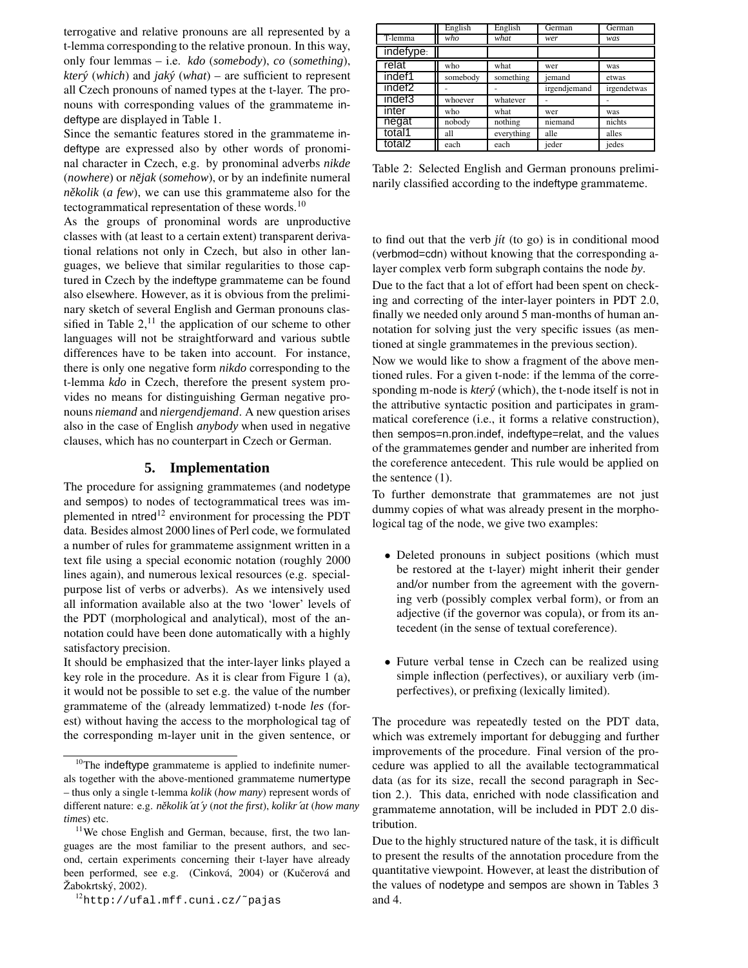terrogative and relative pronouns are all represented by a t-lemma corresponding to the relative pronoun. In this way, only four lemmas – i.e. *kdo* (*somebody*), *co* (*something*), *ktery´* (*which*) and *jaky´* (*what*) – are sufficient to represent all Czech pronouns of named types at the t-layer. The pronouns with corresponding values of the grammateme indeftype are displayed in Table 1.

Since the semantic features stored in the grammateme indeftype are expressed also by other words of pronominal character in Czech, e.g. by pronominal adverbs *nikde* (*nowhere*) or *nejak ˇ* (*somehow*), or by an indefinite numeral *několik* (*a few*), we can use this grammateme also for the tectogrammatical representation of these words.<sup>10</sup>

As the groups of pronominal words are unproductive classes with (at least to a certain extent) transparent derivational relations not only in Czech, but also in other languages, we believe that similar regularities to those captured in Czech by the indeftype grammateme can be found also elsewhere. However, as it is obvious from the preliminary sketch of several English and German pronouns classified in Table  $2<sup>11</sup>$ , the application of our scheme to other languages will not be straightforward and various subtle differences have to be taken into account. For instance, there is only one negative form *nikdo* corresponding to the t-lemma *kdo* in Czech, therefore the present system provides no means for distinguishing German negative pronouns *niemand* and *niergendjemand*. A new question arises also in the case of English *anybody* when used in negative clauses, which has no counterpart in Czech or German.

## **5. Implementation**

The procedure for assigning grammatemes (and nodetype and sempos) to nodes of tectogrammatical trees was implemented in ntred<sup>12</sup> environment for processing the PDT data. Besides almost 2000 lines of Perl code, we formulated a number of rules for grammateme assignment written in a text file using a special economic notation (roughly 2000 lines again), and numerous lexical resources (e.g. specialpurpose list of verbs or adverbs). As we intensively used all information available also at the two 'lower' levels of the PDT (morphological and analytical), most of the annotation could have been done automatically with a highly satisfactory precision.

It should be emphasized that the inter-layer links played a key role in the procedure. As it is clear from Figure 1 (a), it would not be possible to set e.g. the value of the number grammateme of the (already lemmatized) t-node *les* (forest) without having the access to the morphological tag of the corresponding m-layer unit in the given sentence, or

|                    | English  | English    | German       | German      |
|--------------------|----------|------------|--------------|-------------|
| T-lemma            | who      | what       | wer          | was         |
| indefype:          |          |            |              |             |
| relat              | who      | what       | wer          | was         |
| indef1             | somebody | something  | jemand       | etwas       |
| indef <sub>2</sub> |          |            | irgendjemand | irgendetwas |
| indef3             | whoever  | whatever   |              |             |
| inter              | who      | what       | wer          | was         |
| negat              | nobody   | nothing    | niemand      | nichts      |
| total1             | all      | everything | alle         | alles       |
| total2             | each     | each       | ieder        | jedes       |

Table 2: Selected English and German pronouns preliminarily classified according to the indeftype grammateme.

to find out that the verb *j*it (to go) is in conditional mood (verbmod=cdn) without knowing that the corresponding alayer complex verb form subgraph contains the node *by*.

Due to the fact that a lot of effort had been spent on checking and correcting of the inter-layer pointers in PDT 2.0, finally we needed only around 5 man-months of human annotation for solving just the very specific issues (as mentioned at single grammatemes in the previous section).

Now we would like to show a fragment of the above mentioned rules. For a given t-node: if the lemma of the corresponding m-node is *ktery´* (which), the t-node itself is not in the attributive syntactic position and participates in grammatical coreference (i.e., it forms a relative construction), then sempos=n.pron.indef, indeftype=relat, and the values of the grammatemes gender and number are inherited from the coreference antecedent. This rule would be applied on the sentence (1).

To further demonstrate that grammatemes are not just dummy copies of what was already present in the morphological tag of the node, we give two examples:

- Deleted pronouns in subject positions (which must be restored at the t-layer) might inherit their gender and/or number from the agreement with the governing verb (possibly complex verbal form), or from an adjective (if the governor was copula), or from its antecedent (in the sense of textual coreference).
- Future verbal tense in Czech can be realized using simple inflection (perfectives), or auxiliary verb (imperfectives), or prefixing (lexically limited).

The procedure was repeatedly tested on the PDT data, which was extremely important for debugging and further improvements of the procedure. Final version of the procedure was applied to all the available tectogrammatical data (as for its size, recall the second paragraph in Section 2.). This data, enriched with node classification and grammateme annotation, will be included in PDT 2.0 distribution.

Due to the highly structured nature of the task, it is difficult to present the results of the annotation procedure from the quantitative viewpoint. However, at least the distribution of the values of nodetype and sempos are shown in Tables 3 and 4.

 $10$ The indeftype grammateme is applied to indefinite numerals together with the above-mentioned grammateme numertype – thus only a single t-lemma *kolik* (*how many*) represent words of different nature: e.g. *nekˇ olik´at´y* (*not the first*), *kolikr´at* (*how many times*) etc.

 $11$ We chose English and German, because, first, the two languages are the most familiar to the present authors, and second, certain experiments concerning their t-layer have already been performed, see e.g. (Cinková, 2004) or (Kučerová and Žabokrtský, 2002).

<sup>12</sup>http://ufal.mff.cuni.cz/˜pajas